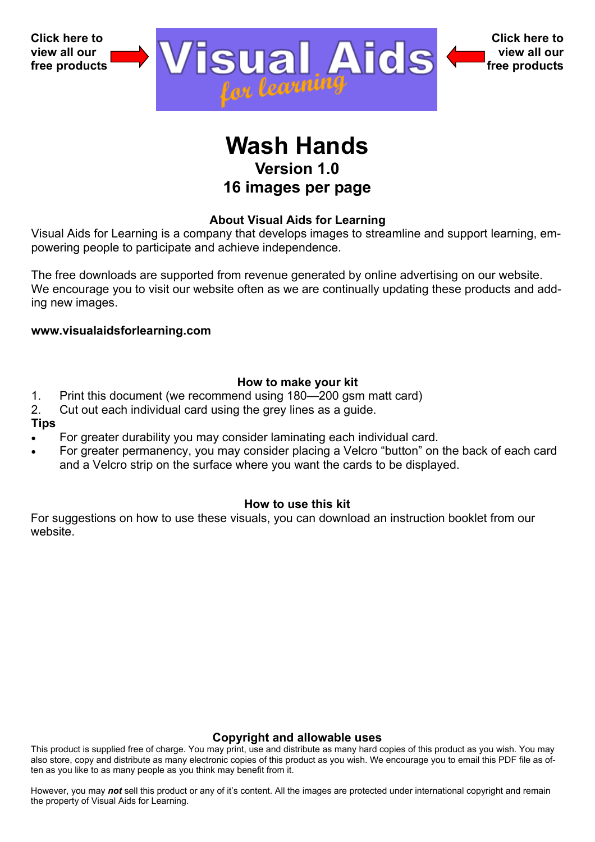

# **Wash Hands Version 1.0 16 images per page**

## **About Visual Aids for Learning**

Visual Aids for Learning is a company that develops images to streamline and support learning, empowering people to participate and achieve independence.

The free downloads are supported from revenue generated by online advertising on our website. We encourage you to visit our website often as we are continually updating these products and adding new images.

**www.visualaidsforlearning.com** 

## **How to make your kit**

- 1. Print this document (we recommend using 180—200 gsm matt card)
- 2. Cut out each individual card using the grey lines as a guide.

#### **Tips**

- For greater durability you may consider laminating each individual card.
- For greater permanency, you may consider placing a Velcro "button" on the back of each card and a Velcro strip on the surface where you want the cards to be displayed.

## **How to use this kit**

For suggestions on how to use these visuals, you can download an instruction booklet from our website.

## **Copyright and allowable uses**

This product is supplied free of charge. You may print, use and distribute as many hard copies of this product as you wish. You may also store, copy and distribute as many electronic copies of this product as you wish. We encourage you to email this PDF file as often as you like to as many people as you think may benefit from it.

However, you may *not* sell this product or any of it's content. All the images are protected under international copyright and remain the property of Visual Aids for Learning.